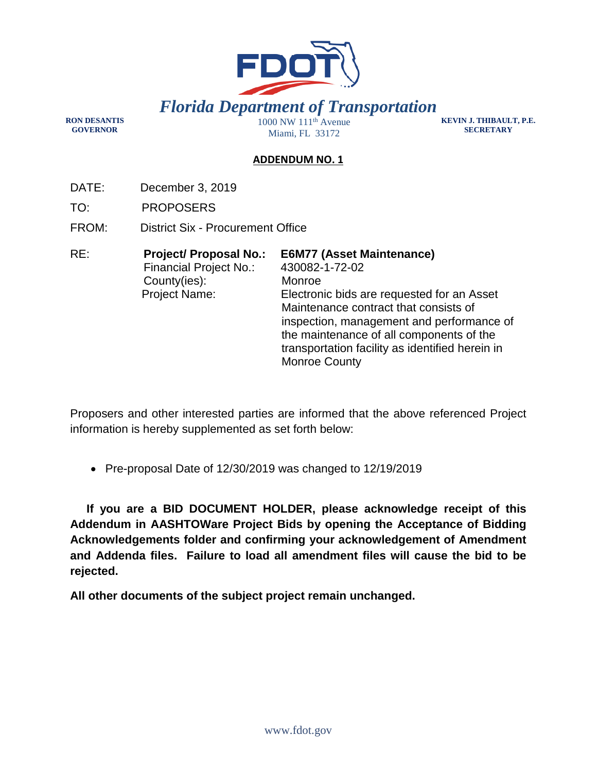

**KEVIN J. THIBAULT, P.E. SECRETARY** 

## **ADDENDUM NO. 1**

DATE: December 3, 2019

TO: PROPOSERS

**RON DESANTIS GOVERNOR** 

- FROM: District Six Procurement Office
- RE: **Project/ Proposal No.: E6M77 (Asset Maintenance)**  Financial Project No.: 430082-1-72-02 County(ies): Monroe Project Name: Electronic bids are requested for an Asset Maintenance contract that consists of inspection, management and performance of the maintenance of all components of the transportation facility as identified herein in Monroe County

Proposers and other interested parties are informed that the above referenced Project information is hereby supplemented as set forth below:

• Pre-proposal Date of 12/30/2019 was changed to 12/19/2019

 **If you are a BID DOCUMENT HOLDER, please acknowledge receipt of this Addendum in AASHTOWare Project Bids by opening the Acceptance of Bidding Acknowledgements folder and confirming your acknowledgement of Amendment and Addenda files. Failure to load all amendment files will cause the bid to be rejected.** 

**All other documents of the subject project remain unchanged.**